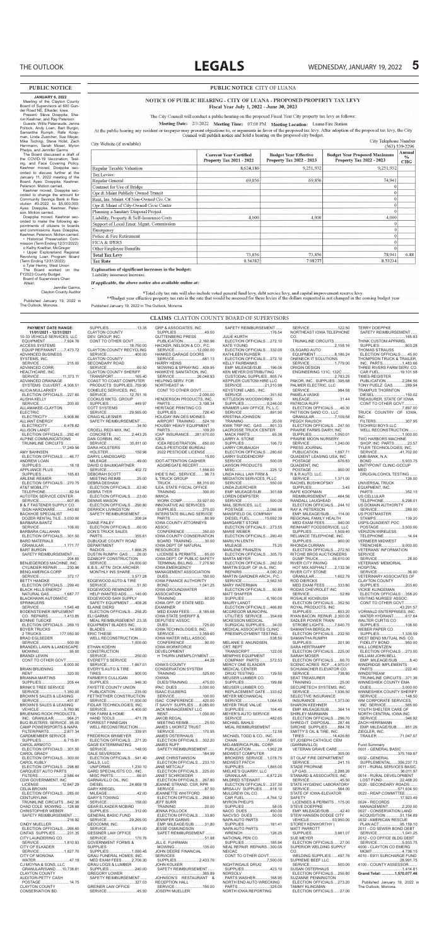AUTOTEK SERVICE CENTER SERVICE..........................607.85 B & F FASTENER SUPPLY CO. SIGN HARDWARE...........543.60 BACKHOE SPECIALIST DOZER RENTAL TILE...3,030.00 BARBARA BANTZ SERVICE..........................106.00 BARBARA CALLAHAN ELECTION OFFICIALS....301.50 BARD MATERIALS GRANULAR...................1,771.77 BART BURGIN SAFETY REIMBURSEMENT... ......................................204.65 BENJEGERDES MACHINE, INC. CYLINDER REPAIR .........230.96 BENQ AMERICA CORP SERVICE..........................372.17 BETTY HANDKE ELECTION OFFICIALS....299.40 BLACK HILLS ENERGY NATURAL GAS..............1,687.77 BLACKHAWK AUTOMATIC SPRINKLERS SERVICE.......................1,545.48 BODENSTEINER IMPLEMENT CO. REPAIRS...............1,413.85 BONNIE TUECKE ELECTION OFFICIALS....269.15 BOYER TRUCKS<br>2 TRUCKS.................177,050.00 2 TRUCKS.................177,050.00 BRAD EGLSEDER SERVICE..........................500.00 BRANDEL LAWN & LANDSCAPE MOWING............................95.00 BRANDI LEWIN CONT TO OTHER GOVT............ ...................................8,000.00 BRIAN BRUENING RENT................................320.00 BRIANNA MARTINS SUPPLIES........................205.44 BRINK'S TREE SERVICE SERVICE.......................1,350.00 BROWN'S SALES & LEASING SERVICE..........................431.87 BROWN'S SALES & LEASING VEHICLE.......................5,760.90 BRUENING ROCK PRODUCTS, INC. GRANULAR ............964.21 BUG BUSTERS SERVICE..95.00 CAMP POWERSPORTS & NAPA FILTER/PARTS..............2,877.34 CARDMEMBER SERVICE SUPPLIES.....................6,715.81 CAROL ARMOTO ELECTION OFFICIALS....301.50 CAROL GRADY ELECTION OFFICIALS....300.00 CAROL KUBLY ELECTION OFFICIALS....298.80 CARQUEST AUTO PARTS FILTERS........................2,586.44 CDW GOVERNMENT, INC LICENSE.....................12,647.29 CELIA BROWN ELECTION OFFICIALS....285.00 CENTURYLINK TRUNKLINE CIRCUITS ...842.36 CHAD COLE MOWING.....128.88 CHRISTOPHER WEBER SAFETY REIMBURSEMENT...... ......................................216.92 CINDY MUELLER ELECTION OFFICIALS....266.60 CINTAS SUPPLIES...........231.35 CITY LAUNDERING CO. SERVICE.......................1,810.93 CITY OF ELKADER SERVICE.......................1,827.70 CITY OF MONONA WATER...............................47.18 CJ MOYNA & SONS, LLC GRANULAR/SAND......10,738.81 CLAYTON COUNTY AUDITOR-PETTY CASH POSTAGE ..........................14.75 CLAYTON COUNTY CONSERVATION BD.

DENNIS MASON ELECTION OFFICIALS....290.80 DERRICK LIVINGSTON SER WORLDWINGSTON ......................................206.24 DIANE FINLEY ELECTION OFFICIALS......60.00 DON'S TRUCK SALES PARTS..............................355.61 DUBUQUE COUNTY ROAD DEPARTMENT RADIOS.........................1,666.25 RADIOS...........................1,666.25<br>DUSTIN RUMPH GAS ........26.00 DZABOFF CONSTRUCTION SERVICE.....................24,000.00 E.B.S., ATTN: DICK ARCHER MONTHLY INS SHARE............... ...................................3,577.28 EDGEWOOD AUTO & TIRE SERVICE............................51.50 EDGEWOOD REMINDER HELP WANTED ADS........140.00 EDGEWOOD SAW SUPPLY SAFETY EQUIPMENT .....408.26 ELAINE DIERS ELECTION OFFICIALS....258.20 ELI GARMS MEAL REIMBURSEMENT .23.35 EQUIPMENT BLADES INC. BLADES ......................14,559.20 ERIC THIESE WELL RECONSTRUCTION. ...................................1,000.00 ETHAN KOEHN CONSTRUCTION SERVICE..........................250.00 EVERETT'S SERVICE SERVICE.......................1,667.01 EVERY'S AUTO & TIRE TIRES...............................900.00 FARMER'S CULLIGAN SUPPLIES........................946.30 FAYETTE COUNTY UNION PUBLICATION..................235.00 FETTKETHER CONSTRUCTION SERVICE.....................11,000.00 FIDLAR TECHNOLOGIES, INC. SERVICE.......................4,400.00 FISK FARM & HOME HAND TOOLS ..................471.78 FORREST FINNEGAN WELL RECONSTRUCTION... ......................................339.91 FREDERICK BRIMEYER ELECTION OFFICIALS....271.20 GAGE EXTERMINATING SERVICE..........................148.00 GALE SEVERSON ELECTION OFFICIALS....541.40 GALLS, LLC UNIFORMS ...................1,230.10 GARD SPECIALISTS CO., INC. MISC PARTS......................66.91 GARNAVILLO OIL, INC. DIESEL........................24,669.18 GARY KREGEL MILEAGE............................42.00 GARY'S TOWING SERVICE..........................158.00 GEAR ELKADER MCBIRD SUPPLIES........................312.00 GENERAL BASIC FUND SERVICE.....................29,265.00 GEOCOMM, INC. SERVICE.......................5,814.00 GESSNER LAW OFFICE SERVICE..........................170.76 GOVERNMENT FORMS & SUPPLIES SUPPLIES.....................1,090.45 GRAU FUNERAL HOMES, INC. MED EXAM FEES.........2,706.30 GRAU LOGS & LUMBER SUPPLIES........................240.00 GREGORY LOWER SAFETY REIMBURSEMENT... ......................................327.03 GREINER LAW OFFICE SERVICE............................45.50

RAY A. PETERSON<br>EMP. MILEAGE/SUB... EMP. MILEAGE/SUB........114.00

| <b>PAYMENT DATE RANGE:</b>  | SUPPLIES13.35                   | <b>GRP &amp; ASSOCIATES, INC</b> | SAFETY REIMBURSEMENT            | SERVICE122.50                   | <b>TERRY DOEPPKE</b>         |
|-----------------------------|---------------------------------|----------------------------------|---------------------------------|---------------------------------|------------------------------|
| 11/01/2021 - 12/31/2021     | <b>CLAYTON COUNTY</b>           | SUPPLIES49.00                    |                                 | NORTHEAST IOWA TELEPHONE        | SAFETY REIMBURSEMENT         |
| 10-33 VEHICLE SERVICES. LLC | DEV. GROUP. INC.                | <b>GUTTENBERG PRESS</b>          | <b>JULIE KURTH</b>              | CO.                             |                              |
| EQUIPMENT7,924.76           | CONT TO OTHER GOVT              | PUBLICATION2,160.96              | ELECTION OFFICIALS272.10        | TRUNKLINE CIRCUITS              | THINK CUSTOM APPAREL         |
| <b>ACCESS SYSTEMS</b>       |                                 | HACKER, NELSON & CO., P.C.       | <b>KATE YOUNG</b>               |                                 | SUPPLIES803.28               |
| EQUIP REP/MAINT7,473.72     | <b>CLAYTON COUNTY RECYCLING</b> | SERVICE12,000.00                 | ELECTION OFFICIALS332.00        | <b>OLSGARD AUTO</b>             | <b>THOMAS STRAUSS</b>        |
| ADVANCED BUSINESS           | SERVICE400.00                   | HANKES GARAGE DOORS              | <b>KATHLEEN RUHSER</b>          | EQUIPMENT8,186.24               | ELECTION OFFICIALS45.00      |
| SYSTEMS, INC.               | <b>CLAYTON COUNTY</b>           |                                  | ELECTION OFFICIALS272.10        | ONENECK IT SOLUTIONS            | THOMPSON TRUCK & TRAILER.    |
| SERVICE215.00               | <b>SECONDARY ROAD</b>           | <b>HARRY HEINS</b>               | <b>KELLY FAIRBANKS</b>          | SERVICE1,779.00                 | INC. PARTS1.483.66           |
| ADVANCED CORR.              |                                 | MOWING & SPRAYING 409.95         | EMP. MILEAGE/SUB196.06          | <b>ORIGIN DESIGN</b>            | THREE RIVERS FARM SERV. CO.  |
| HEALTHCARE, INC.            | <b>CLAYTON COUNTY SHERIFF</b>   | HAWKEYE SANITATION, INC.         | <b>KEN MEYER DISTRIBUTING</b>   | ENGINEERING 131C; 132C          | CAR FUEL19,101.58            |
| SERVICE 11,373.11           | TRANSPORT165.40                 | SERVICE26,048.93                 | CUSTODIAL SUPPLIES805.74        |                                 | <b>TIMES-REGISTER</b>        |
| ADVANCED DRAINAGE           | <b>COAST TO COAST COMPUTER</b>  | <b>HELPING SERV. FOR</b>         | <b>KEPPLER CUSTOM HIRE LLC</b>  | PAKOR, INC. SUPPLIES 395.68     | PUBLICATION2,284.56          |
| SYSTEMS CULVERT4.306.51     | PRODUCTS SUPPLIES759.90         | NORTHEAST IA                     | SERVICE21,210.99                | PALMER ELECTRIC. LLC            | <b>TONY PUELZ GAS 289.94</b> |
| <b>ALICIA MULLARKEY</b>     | COMELEC SERVICES. INC.          | CONT TO OTHER GOVT               | <b>KEYSTONE LABS INC.</b>       | SERVICE984.58                   | <b>TRAMPUS THORNTON</b>      |
| ELECTION OFFICIALS227.60    | SERVICE12,761.16                |                                  | SERVICE351.50                   | PAMELA VASKE                    | DIESEL150.02                 |
| <b>ALISHA KELLY</b>         | <b>COOKUS MKTG, GROUP</b>       | HENDERSON PRODUCTS, INC.         | KITTLESON WOODWORKS             | MILEAGE31.44                    | TREASURER, STATE OF IOWA     |
| SERVICE200.00               | SUPPLIES449.97                  | PARTS3,198.34                    | SUPPLIES9,246.00                | PATRICIA RUFF                   | CONT TO OTHER GOVT           |
| ALLAMAKEE-CLAYTON           | <b>COTT SYSTEMS</b>             | <b>HERITAGE PRINTING CO.</b>     | KRAMER LAW OFFICE, P.L.L.C.     | ELECTION OFFICIALS46.30         | 7,897.00                     |
| <b>ELECTRIC</b>             | SERVICE29,565.00                | SUPPLIES726.40                   | SERVICE891.90                   | PATTISON SAND CO., LLC          | TRUCK COUNTRY OF IOWA.       |
| ELECTRICITY 5,908.86        | <b>CRAIG KLUESNER</b>           | <b>HOLIDAY INN DES MOINES</b>    | <b>KRISTINA JOHNSON</b>         | GRANULAR7,109.58                | INC.                         |
| <b>ALLIANT ENERGY</b>       | SAFETY REIMBURSEMENT            | AIRPORT TRAINING524.16           | TRAINING 20.00                  | <b>PEGGY RAUSCH</b>             | FILTERS307.95                |
| ELECTRICITY 6,478.82        |                                 | HOUSBY HEAVY EQUIPMENT           | KWIK TRIP INC. GAS 801.33       | ELECTION OFFICIALS247.50        | <b>TSCHIRGI BOYS LLC</b>     |
| <b>ALLISON LANDT</b>        | CROELL REDI-MIX. INC.           | PARTS109.20                      | <b>LACROSSE TRUCK CENTER</b>    | <b>PRAIRIE FARMS DAIRY. INC</b> | WELL RECONSTRUCTION          |
| ELECTION OFFICIALS292.40    | CONCRETE 2,443.25               | ICAP INSURANCE281,670.00         | MACK PARTS 65.38                | SUPPLIES1,050.01                |                              |
| ALPINE COMMUNICATIONS       | DAN CORBIN. INC.                | <b>ICEA</b>                      | LARRY A. STONE                  | PRAIRIE MOON NURSERY            | <b>TWO HARBORS MACHINE</b>   |
| TRUNKLINE CIRCUITS          | SERVICE35,811.00                | ICEA REGISTRATION650.00          | SUPPLIES106.72                  | SERVICE1,240.00                 | SHOP, INC PARTS23.57         |
|                             | <b>DARA HOLSTERS</b>            | <b>IDALS-PESTICIDE BUREAU</b>    | <b>LARRY CRUBAUGH</b>           | PRESS JOURNAL                   | TYLER TECHNOLOGIES. INC.     |
| <b>AMY BAHNSEN</b>          | HOLSTER150.96                   | 2022 PESTICIDE LICENSE           | ELECTION OFFICIALS280.60        | PUBLICATION1,697.71             | SERVICE41,702.00             |
| ELECTION OFFICIALS46.77     | DARYL LANDSGARD                 |                                  | <b>LARRY SUDDENDORF</b>         | QUADIENT LEASING USA. INC       | UMB BANK, N.A.               |
| <b>ANDREW LOAN</b>          | MILEAGE49.00                    | <b>IDOT-ATTENTION CASHIER</b>    | SERVICE500.00                   | POSTAGE 676.83                  | BOND 5,933.75                |
| SUPPLIES.<br>18.18          | DAVID G BAUMGARTNER             | AGGREGATE RECERT                 | <b>LAWSON PRODUCTS</b>          | <b>QUADIENT, INC</b>            | UNITYPOINT CLINIC-OCCUP      |
| <b>APPLIANCE PLUS</b>       | SERVICE402.72                   |                                  | MISC225.12                      | POSTAGE 900.00                  | <b>MED</b>                   |
| SUPPLIES165.83              | <b>DEBORAH SCOTT</b>            | IHDE'S INC. SERVICE96.73         | LINDA HALL LAW FIRM &           | R & R AUTO, LLC.                | DRUG/ALCOHOL TESTING         |
| <b>ARLENE REIMER</b>        | MEETING REIMB25.00              | <b>IL TRUCK GROUP</b>            | <b>MEDIATION SERVICES, PLLC</b> | SERVICE1,371.00                 |                              |
| ELECTION OFFICIALS270.75    | <b>DEBRA DESHAW</b>             | TRUCK 88,310.00                  | SERVICE550.00                   | RACHEL BUSHKOFSKY               | UNIVERSAL TRUCK              |
| <b>AT&amp;T MOBILITY</b>    | ELECTION OFFICIALS63.60         | <b>ILEA. STATE FISCAL OFFICE</b> | <b>LINDA ZUERCHER</b>           | SUPPLIES3.45                    | <b>EQUIPMENT, INC.</b>       |
| TELEPHONE82.54              | <b>DEBRATYER</b>                | TRAINING 300.00                  | EMP. MILEAGE/SUB301.69          | RAFE KOOPMAN                    | PARTS352.15                  |
| AUTOTEK SERVICE CENTER      | ELECTION OFFICIALS23.00         | <b>IMWCA</b>                     | <b>LOREN DEMPSTER</b>           | REIMBURSEMENT464.56             | US CELLULAR                  |

 WORK COMP..............33,927.00 INNOVATIVE AG SERVICES SUPPLIES........................275.00 INTERSTATE BILLING SERVICE PARTS................................80.99 IOWA COUNTY ATTORNEYS ASSOC. CONFERENCE ................350.00 IOWA COUNTY CONSERVATION BOARD TRAINING............30.00 IOWA DEPT OF NATURAL **RESOURCES**  LICENSE & PERMITS........65.00 IOWA DEPT. OF PUBLIC SAFETY TERMINAL BILLING......7,275.90 IOWA EMERGENCY MANAGEMENT ASSOCIATION DUES................................150.00 IOWA FINANCE AUTHORITY BOND ............................1,041.25 IOWA GROUNDWATER ASSOCIATION TRAINING ..........................60.00 IOWA OFF. OF STATE MED. EXAMINER MED EXAM FEES.........8,185.68 IOWA STATE SHERIFF & DEPUTIES' ASSOC. DUES................................725.00 IOWA TECHNOLOGIES, INC. SERVICE.......................3,359.60 IOWA WATER WELL ASSOC. CONFERENCE ..................90.00 IOWA WORKFORCE DEVELOPMENT H THURN UNEMPLOYMENT..... ........................................44.28 IOWA'S COUNTY CONSERVATION SYSTEM TRAINING ........................525.00 IOWWA DUES/TRAINING .............475.00 IPAC DUES ....................3,000.00 ISAAC EULBERG SERVICE..........................100.00 ISAC CONFERENCE........420.00 IT SAVVY SUPPLIES.....8,085.00 JACK MANAGEMENT LLC RENT.............................1,000.00 JAKOB REGAL MEETING REIMB...............25.00 JAMES L MORITZ TRUST SERVICE..........................170.95 JAMES OSTERHAUS ELECTION OFFICIALS....302.20 JAMES RUFF SAFETY REIMBURSEMENT...... ......................................184.99 JANE CHRISTIANSON ELECTION OFFICIALS....233.10 JANE METCALF ELECTION OFFICIALS....225.00 JANET SCHROEDER ELECTION OFFICIALS....267.80 JEANNE STRAND, CSR, RPR SERVICE............................87.50 JEANNETTE WHITFORD ELECTION OFFICIALS....268.90 JEFF BURR<br>TRAINING ................. TRAINING ..........................20.00 JENNA POLLOCK ELECTION OFFICIALS......33.80 JENNIFER GARMS EMP. MILEAGE/SUB..........31.80 JESSE OSMUNDSON SESSE SSMISHSSON<br>SAFET REIMBURSEMENT ... ........................................51.98 JILL E. FUHRMAN MOWING..........................135.00 JOHN DEERE FINANCIAL SERVICES SUPPLIES.....................2,433.76 JOHN KOLKER SAFETY REIMBURSEMENT...... ......................................365.89 JOHNSON'S RESTAURANT & RECEPTION HALL SERVICE..........................150.00 JOSEPH MUELLER

LOREN DEMPSTER SERVICE..........................500.00 MAIL SERVICES, LLC POSTAGE .....................2,066.98 MANSFIELD OIL COMPANY DIESEL FUEL..............15,692.39 MARGARET STONE ELECTION OFFICIALS....273.55 MARIE WEBER ELECTION OFFICIALS....280.40 MARILYN LENTH MILEAGE............................75.20 MARLENE FRANZEN ELECTION OFFICIALS....305.70 MARTA MEYER ELECTION OFFICIALS....262.50 MARTIN EQUIP. OF IA-IL, INC. REPAIRS.......................4,090.23 MARTIN GARDNER ARCH., P.C. SERVICE.......................2,562.50 MARY WATERMAN ELECTION OFFICIALS......50.80 MATT SHAFFER SUPPLIES.....................6,160.00 MAURY LANDT ELECTION OFFICIALS....466.80 MCGREGOR MUNICIPAL UTILITIES SERVICE.......354.69 MCKESSON MEDICAL SURGICAL SUPPLIES.......34.00 MEDICAL ASSOCIATES CLINIC PREEMPLOYMENT TESTING . ......................................538.50 MELANIE S. ANUNDSEN, CRT. REPT TRANSCRIPT...................122.00 MEMPHIS EQUIPMENT COMPANY PARTS..........572.53 MERCY ONE ELKADER MEDICAL CENTER DRUG TESTING ..............139.50 MEUSER LUMBER CO. SUPPLIES........................199.86 MEUSER LUMBER CO. REPLACEMENT GATE....333.62 MEYER MECHANICAL SERVICE.......................1,064.55 MEYER TRUE VALUE SUPPLIES........................104.40 MEYER'S AUTO SERVICE SERVICE..........................482.65 MICHAEL BAHLS MEAL REIMBURSEMENT .......... ........................................12.59 MICHAEL TODD & CO., INC. CHAIN ...........................7,665.00 MID-AMERICA PUBL. CORP. PUBLICATION...............1,902.28 MIDWEST COMPUTER BROKERS SERVICE ...1,078.75 MIDWEST PATCH SUPPLIES.....................1,865.00 MIELKE'S QUARRY, LLC GRANULAR...................6,872.25 MILDRED STEWART ELECTION OFFICIALS....237.30 MRSA-UV SUPPLIES .......818.10 MULGREW OIL CO. CAR FUEL.....................4,764.12 MYRON PHELPS SUPPLIES..........................58.05 NACO DUES .....................450.00 NACVSO DUES ..................50.00 NAPA AUTO PARTS SUPPLIES........................181.41 NAPA AUTO PARTS WRENCH .........................126.25 NATIONAL PEN CO. SUPPLIES........................185.94 NEAL REPAIR REPAIRS...300.00 NEICAC CONT TO OTHER GOVT............ ...................................7,500.00 NIGHTINGALE DRUG SUPPLIES........................423.10 NORSOLV PARTS WASHER .............168.95 NORTH END AUTO WRECKING PARTS..............................325.00 NORTH IOWA REPORTING

RANDALL LAUGHEAD

ELECTION OFFICIALS....244.10

REGIONAL FAMILY HEALTH MED EXAM FEES............940.00 REINHART FOODSERVICE, LLC SUPPLIES.....................1,509.40 RELIANCE TELEPHONE, INC. SUPPLIES........................900.00 RHONDA CURRAN ELECTION OFFICIALS....272.50 RITCHIE BROS AUCTIONEERS DUMP TRUCK.............56,610.00 RIVER CITY PAVING HOT MIX ASPHALT.......2,132.36 RIVER CITY STONE GRANULAR...................1,602.79 ROD DIERCKS MED EXAM FEES............333.80 RODAS CHEVROLET INC SERVICE............................52.89 ROSALIE KICKBUSH ELECTION OFFICIALS....352.50 ROYAL PRODUCTS, INC SUPPLIES........................803.20 RYAN BACON REPAIR..2,300.00 SADLER POWER TRAIN STROBE LIGHTS..........7,640.75 SAMANTHA BERGLIN ELECTION OFFICIALS....232.50 SAMANTHA RUMPH SUPPLIES........................201.90 SARA HERTRAMPF ELECTION OFFICIALS....225.00 SARAH MOSER ELECTION OFFICIALS......66.70 SCENIC ACRES RCF ....4,970.01 SCHUMACHER ELEVATOR CO. SERVICE..........................738.80 SEAT TREASURER TRAINING ..........................25.00 SECURETECH SYSTEMS, INC. SERVICE.......................1,936.50 SELECTIVE INSURANCE INSURANCE .................1,373.00 SHARON KEEHNER EMP. MILEAGE/SUB........364.14 SHIRLEY MARMANN ELECTION OFFICIALS....296.70 SHRED-IT DISPOSAL.......287.46 SIRCHIE SUPPLIES .........884.78 SMITTY'S OIL & TIRE, INC. TIRES..........................14,426.85 ST JOSEPH CATHOLIC CEM (GARNAVILLO) VETERAN GRAVE CARE ........... ......................................305.00 ST OLAF FIRE DEPARTMENT SERVICE..........................241.15 STADE PROPANE LP GAS..........................2,288.26 STANARD & ASSOCIATES, INC SERVICE............................45.50 STATE HYGIENIC LABORATORY SERVICE..........................564.00 STATE OF IOWA-ELEVATOR SAFETY LICENSES & PERMITS ...175.00 STEVE DOEPPKE EMP. MILEAGE/SUB..........42.40 STEW HANSEN DODGE CITY VEHICLE.....................53,950.00 STOREY KENWORTHY | MATT PARROTT SUPPLIES.....................3,661.07 SUE MEYER ELECTION OFFICIALS......27.00 SUPERIOR WELDING SUPPLY CO. WELDING SUPPLIES......497.76 SUPREME BEEF LLC SERVICE..........................500.00 SUSAN OSTERHAUS ELECTION OFFICIALS....256.80 SUZANNE PENNINGTON ELECTION OFFICIALS....273.20 TAMMY KLINGMAN ELECTION OFFICIALS......27.00

US CELLULAR TELEPHONE.................5,298.01 US DOMAIN AUTHORITY SERVICE..........................289.00 US POSTMASTER STAMPS...........................139.20 USPS-QUADIENT POC POSTAGE .....................3,500.00 VERIZON WIRELESS TELEPHONE......................14.04 VERMEER MIDWEST TRENCHER...................9,000.00 VETERANS' INFORMATION SERVICE SERVICE............................28.00 VETERANS' MEMORIAL HOSPITAL SERVICE............................36.00 VETERINARY ASSOCIATES OF CLAYTON COUNTY SUPPLIES........................203.60 VICKIE KLINGEMAN ELECTION OFFICIALS....358.20 VISITING NURSES' ASSOC. CONT TO OTHER GOVT............ .................................43,291.57 VORWALD ENTERPRISES, INC. WATER HYDRANT...........617.64 WALTER CURTIS CO SUPPLIES........................108.00 WEBER PAPER CO. SUPPLIES.....................1,335.59 WEST BEND MUTUAL INS. CO. FIDELITY BOND ..............950.00 WILL LORENTZEN ELECTION OFFICIALS....273.00 WILLIAM JOHN BELL EMP .MILEAGE/SUB. ..........8.40 WINDRIDGE IMPLEMENTS PARTS..............................222.40 WINDSTREAM TRUNKLINE CIRCUITS ...371.36 WINNESHIEK COUNTY EMA DUES.............................3,000.00 WINNESHIEK COUNTY SHERIFF SERVICE..........................148.50 WM CORPORATE SERVICES, INC SERVICE..................565.00 YOUTH SHELTER CARE OF NORTH CENTRAL IOWA INC SERVICE..........................346.92 ZACH HERRMANN EMP. MILEAGE/SUB........851.26 ZIEGLER, INC. TRAILER .....................71,047.07 Fund Summary 0001 - GENERAL BASIC .............. ...............................375,169.87 0002 - GENERAL SUPPLEMENTAL......356,237.73 0011 - RURAL SERVICES BASIC. .................................36,011.97 0014 - RURAL DEVELOPMENT LOST FUND ................22,468.20 0020 - SECONDARY ROADS....... ...............................571,634.50 0023 - REAP COMMITTEE........... .................................17,923.49 0024 - RECORDS MANAGEMENT.............2,200.00 0027 - CONSERVATION LAND ACQUISITION .............51,154.89 0032 - AMERICAN RESCUE PLAN ACT ...................95,159.10 2011 - CO SEWER BOND DEBT SERVICE.......................1,041.25 2012 - CO OFFICE BLDG DEBT SERVICE.......................5,933.75 4000 - CLAYTON CO EMERG MGMT............................4,736.15 4010 - E911 SURCHARGE FUND .................................28,991.75 4100 - COUNTY ASSESSOR........ ...................................1,414.81 **Grand Total: ............1,570,077.46** Published January 19, 2022 in The Outlook, Monona.

# **CLAIMS** CLAYTON COUNTY BOARD OF SUPERVISORS

Published January 19, 2022 in The Outlook, Monona.

# **PUBLIC NOTICE** CITY OF LUANA

# NOTICE OF PUBLIC HEARING - CITY OF LUANA - PROPOSED PROPERTY TAX LEVY Fiscal Year July 1, 2022 - June 30, 2023

The City Council will conduct a public hearing on the proposed Fiscal Year City property tax levy as follows:

Meeting Date: 2/3/2022 Meeting Time: 07:00 PM Meeting Location: Luana Fire Station

At the public hearing any resident or taxpayer may present objections to, or arguments in favor of the proposed tax levy. After adoption of the proposed tax levy, the City Council will publish notice and hold a hearing on the proposed city budget.

| City Website (if available)                |                                                                  |                                                                 | City Telephone Number                                                  | $(563) 539 - 2296$                    |
|--------------------------------------------|------------------------------------------------------------------|-----------------------------------------------------------------|------------------------------------------------------------------------|---------------------------------------|
|                                            | <b>Current Year Certified</b><br><b>Property Tax 2021 - 2022</b> | <b>Budget Year Effective</b><br><b>Property Tax 2022 - 2023</b> | <b>Budget Year Proposed Maximum</b><br><b>Property Tax 2022 - 2023</b> | <b>Annual</b><br>$\frac{0}{0}$<br>CHG |
| Regular Taxable Valuation                  | 8,624,186                                                        | 9,251,932                                                       | 9,251,932                                                              |                                       |
| Tax Levies:                                |                                                                  |                                                                 |                                                                        |                                       |
| Regular General                            | 69,856                                                           | 69,856                                                          | 74,941                                                                 |                                       |
| Contract for Use of Bridge                 |                                                                  |                                                                 | $\cup$                                                                 |                                       |
| Opr & Maint Publicly Owned Transit         |                                                                  |                                                                 | $^{(1)}$                                                               |                                       |
| Rent, Ins. Maint. Of Non-Owned Civ. Ctr.   |                                                                  |                                                                 | $\Omega$                                                               |                                       |
| Opr & Maint of City-Owned Civic Center     |                                                                  |                                                                 | $\Omega$                                                               |                                       |
| Planning a Sanitary Disposal Project       |                                                                  |                                                                 | $\theta$                                                               |                                       |
| Liability, Property & Self-Insurance Costs | 4,000                                                            | 4,000                                                           | 4,000                                                                  |                                       |
| Support of Local Emer. Mgmt. Commission    |                                                                  |                                                                 |                                                                        |                                       |
| Emergency                                  |                                                                  |                                                                 | $\bigcap$                                                              |                                       |
| Police & Fire Retirement                   |                                                                  |                                                                 | $\Omega$                                                               |                                       |
| FICA & IPERS                               |                                                                  |                                                                 | $\Omega$                                                               |                                       |
| Other Employee Benefits                    |                                                                  |                                                                 | $\Omega$                                                               |                                       |
| <b>Total Tax Levy</b>                      | 73,856                                                           | 73,856                                                          | 78,941                                                                 | 6.88                                  |
| <b>Tax Rate</b>                            | 8.56382                                                          | 7.98277                                                         | 8.53234                                                                |                                       |

Explanation of significant increases in the budget:

Liability insurance increase.

If applicable, the above notice also available online at:

\*Total city tax rate will also include voted general fund levy, debt service levy, and capital improvement reserve levy.

\*\*Budget year effective property tax rate is the rate that would be assessed for these levies if the dollars requested is not changed in the coming budget year

#### **JANUARY 6, 2022**

Meeting of the Clayton County Board of Supervisors at 600 Gunder Road NE, Elkader, Iowa. Present: Steve Doeppke, Sha-

ron Keehner, and Ray Peterson Guests: Willis Patenaude, Jenna Pollock, Andy Loan, Bart Burgin, Samantha Rumph, Rafe Koopman, Linda Zuercher, Sue Meyer Mike Tschirgi, Steve Holst, Zach Herrmann, Sarah Moser, Myron Phelps, and Jennifer Garms

The Board discussed a draft of the COVID-19 Vaccination, Testing, and Face Covering Policy. Keehner moved, Doeppke seconded to discuss further at the January 11, 2022 meeting of the Board. Ayes: Doeppke, Keehner, Peterson. Motion carried.

Keehner moved, Doeppke seconded to change the amount for Community Savings Bank in Resolution #3-2022 to \$5,000,000. Ayes: Doeppke, Keehner, Peterson. Motion carried. Doeppke moved, Keehner sec-

onded to make the following appointments of citizens to boards and commissions. Ayes: Doeppke, Keehner, Peterson. Motion carried. • Historical Preservation Com-

mission (Term Ending 12/31/2022): o Kathy Koether, McGregor

• Upper Explorerland Regional Revolving Loan Program Board (Term Ending 12/31/2022): o Tyler Hemry, West Union

The Board worked on the FY2023 County Budget. Board of Supervisors Chair

Attest: Jennifer Garms,

Clayton County Auditor

Published January 19, 2022 in The Outlook, Monona.

# **PUBLIC NOTICE**